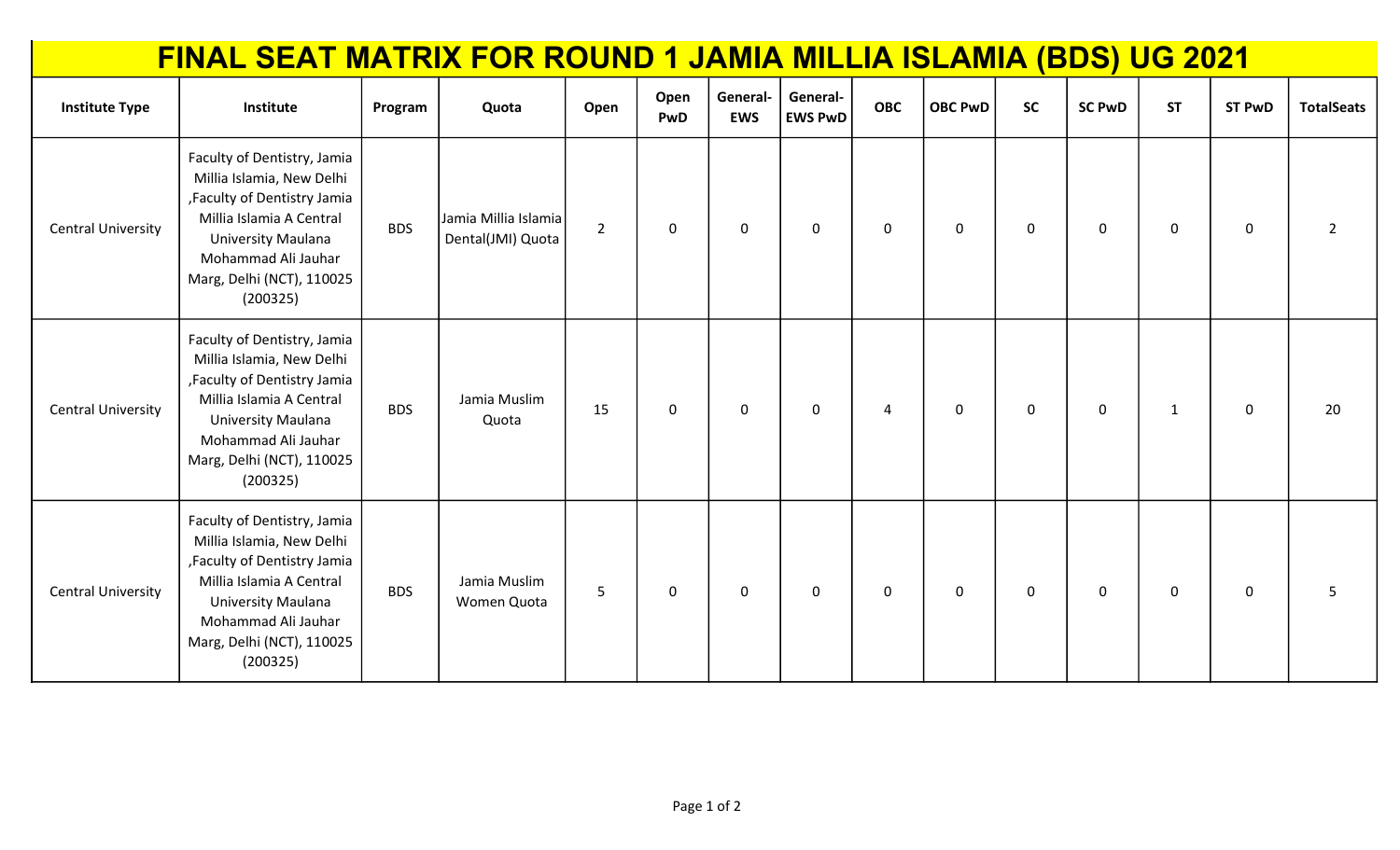|                           | FINAL SEAT MATRIX FOR ROUND 1 JAMIA MILLIA ISLAMIA (BDS) UG 2021                                                                                                                                           |            |                                           |                |             |                        |                            |            |                |           |               |              |                  |                   |
|---------------------------|------------------------------------------------------------------------------------------------------------------------------------------------------------------------------------------------------------|------------|-------------------------------------------|----------------|-------------|------------------------|----------------------------|------------|----------------|-----------|---------------|--------------|------------------|-------------------|
| <b>Institute Type</b>     | Institute                                                                                                                                                                                                  | Program    | Quota                                     | Open           | Open<br>PwD | General-<br><b>EWS</b> | General-<br><b>EWS PwD</b> | <b>OBC</b> | <b>OBC PwD</b> | <b>SC</b> | <b>SC PwD</b> | <b>ST</b>    | <b>ST PwD</b>    | <b>TotalSeats</b> |
| <b>Central University</b> | Faculty of Dentistry, Jamia<br>Millia Islamia, New Delhi<br>, Faculty of Dentistry Jamia<br>Millia Islamia A Central<br>University Maulana<br>Mohammad Ali Jauhar<br>Marg, Delhi (NCT), 110025<br>(200325) | <b>BDS</b> | Jamia Millia Islamia<br>Dental(JMI) Quota | $\overline{2}$ | $\mathbf 0$ | 0                      | $\mathbf 0$                | 0          | $\mathbf 0$    | 0         | $\mathbf 0$   | $\mathbf 0$  | $\mathbf 0$      | $\overline{2}$    |
| <b>Central University</b> | Faculty of Dentistry, Jamia<br>Millia Islamia, New Delhi<br>, Faculty of Dentistry Jamia<br>Millia Islamia A Central<br>University Maulana<br>Mohammad Ali Jauhar<br>Marg, Delhi (NCT), 110025<br>(200325) | <b>BDS</b> | Jamia Muslim<br>Quota                     | 15             | $\mathbf 0$ | $\mathbf 0$            | $\mathbf 0$                | 4          | $\mathbf 0$    | $\pmb{0}$ | $\mathbf 0$   | $\mathbf{1}$ | $\boldsymbol{0}$ | 20                |
| <b>Central University</b> | Faculty of Dentistry, Jamia<br>Millia Islamia, New Delhi<br>, Faculty of Dentistry Jamia<br>Millia Islamia A Central<br>University Maulana<br>Mohammad Ali Jauhar<br>Marg, Delhi (NCT), 110025<br>(200325) | <b>BDS</b> | Jamia Muslim<br>Women Quota               | 5              | $\mathbf 0$ | $\mathbf 0$            | $\mathbf 0$                | 0          | $\mathbf 0$    | 0         | $\mathbf 0$   | $\mathbf 0$  | $\mathbf 0$      | 5                 |